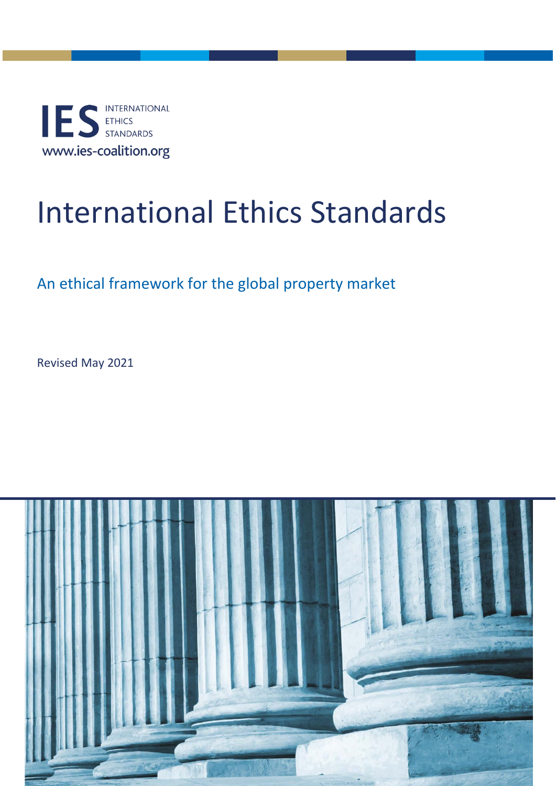INTERNATIONAL ES ETHICS www.ies-coalition.org

# International Ethics Standards

## An ethical framework for the global property market

Revised May 2021

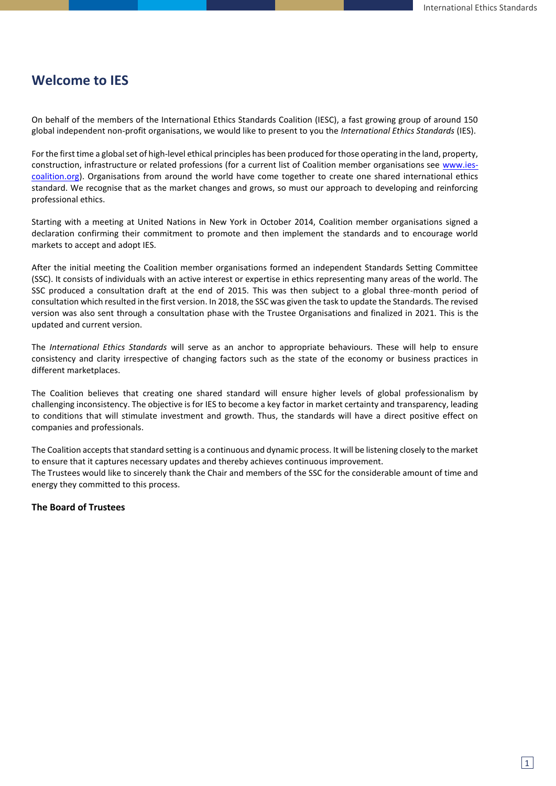### **Welcome to IES**

On behalf of the members of the International Ethics Standards Coalition (IESC), a fast growing group of around 150 global independent non-profit organisations, we would like to present to you the *International Ethics Standards* (IES).

For the first time a global set of high-level ethical principles has been produced for those operating in the land, property, construction, infrastructure or related professions (for a current list of Coalition member organisations see [www.ies](http://www.ies-coalition.org/)[coalition.org\)](http://www.ies-coalition.org/). Organisations from around the world have come together to create one shared international ethics standard. We recognise that as the market changes and grows, so must our approach to developing and reinforcing professional ethics.

Starting with a meeting at United Nations in New York in October 2014, Coalition member organisations signed a declaration confirming their commitment to promote and then implement the standards and to encourage world markets to accept and adopt IES.

After the initial meeting the Coalition member organisations formed an independent Standards Setting Committee (SSC). It consists of individuals with an active interest or expertise in ethics representing many areas of the world. The SSC produced a consultation draft at the end of 2015. This was then subject to a global three-month period of consultation which resulted in the first version. In 2018, the SSC was given the task to update the Standards. The revised version was also sent through a consultation phase with the Trustee Organisations and finalized in 2021. This is the updated and current version.

The *International Ethics Standards* will serve as an anchor to appropriate behaviours. These will help to ensure consistency and clarity irrespective of changing factors such as the state of the economy or business practices in different marketplaces.

The Coalition believes that creating one shared standard will ensure higher levels of global professionalism by challenging inconsistency. The objective is for IES to become a key factor in market certainty and transparency, leading to conditions that will stimulate investment and growth. Thus, the standards will have a direct positive effect on companies and professionals.

The Coalition accepts that standard setting is a continuous and dynamic process. It will be listening closely to the market to ensure that it captures necessary updates and thereby achieves continuous improvement. The Trustees would like to sincerely thank the Chair and members of the SSC for the considerable amount of time and energy they committed to this process.

#### **The Board of Trustees**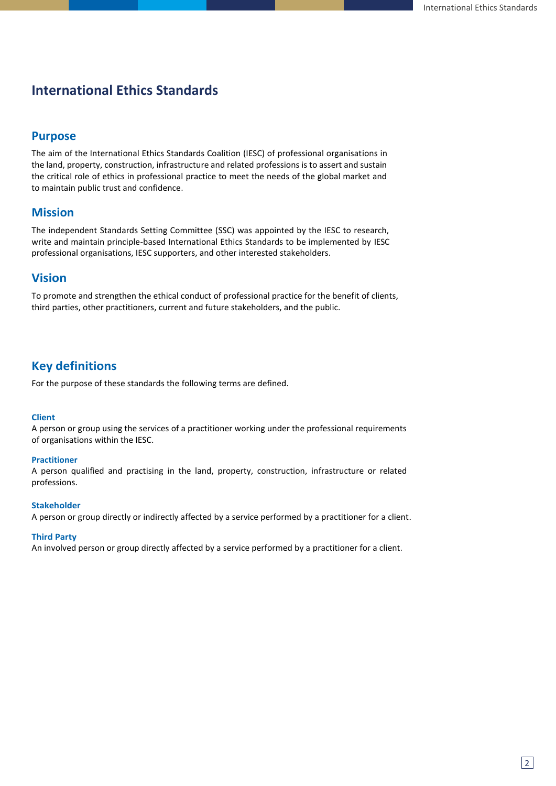## **International Ethics Standards**

#### **Purpose**

The aim of the International Ethics Standards Coalition (IESC) of professional organisations in the land, property, construction, infrastructure and related professions is to assert and sustain the critical role of ethics in professional practice to meet the needs of the global market and to maintain public trust and confidence.

#### **Mission**

The independent Standards Setting Committee (SSC) was appointed by the IESC to research, write and maintain principle-based International Ethics Standards to be implemented by IESC professional organisations, IESC supporters, and other interested stakeholders.

#### **Vision**

To promote and strengthen the ethical conduct of professional practice for the benefit of clients, third parties, other practitioners, current and future stakeholders, and the public.

#### **Key definitions**

For the purpose of these standards the following terms are defined.

#### **Client**

A person or group using the services of a practitioner working under the professional requirements of organisations within the IESC.

#### **Practitioner**

A person qualified and practising in the land, property, construction, infrastructure or related professions.

#### **Stakeholder**

A person or group directly or indirectly affected by a service performed by a practitioner for a client.

#### **Third Party**

An involved person or group directly affected by a service performed by a practitioner for a client.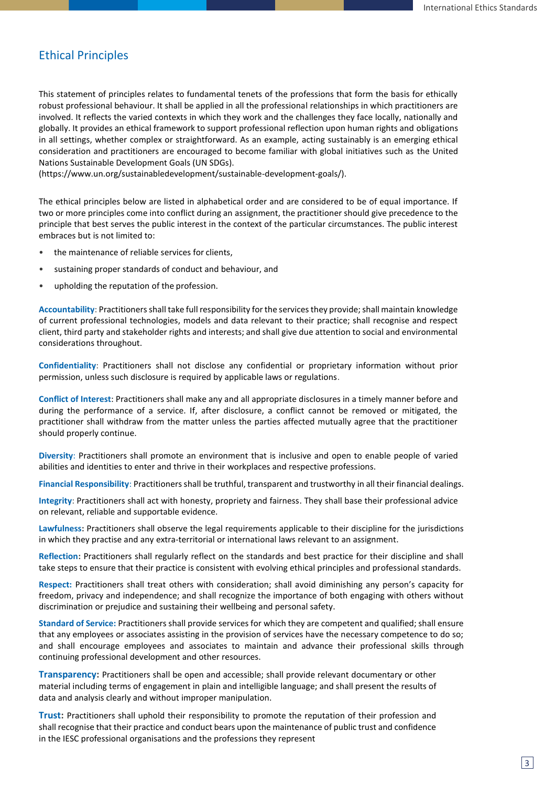#### Ethical Principles

This statement of principles relates to fundamental tenets of the professions that form the basis for ethically robust professional behaviour. It shall be applied in all the professional relationships in which practitioners are involved. It reflects the varied contexts in which they work and the challenges they face locally, nationally and globally. It provides an ethical framework to support professional reflection upon human rights and obligations in all settings, whether complex or straightforward. As an example, acting sustainably is an emerging ethical consideration and practitioners are encouraged to become familiar with global initiatives such as the United Nations Sustainable Development Goals (UN SDGs).

[\(https://www.un.org/sustainabledevelopment/sustainable-development-goals/\)](https://www.un.org/sustainabledevelopment/sustainable-development-goals/).

The ethical principles below are listed in alphabetical order and are considered to be of equal importance. If two or more principles come into conflict during an assignment, the practitioner should give precedence to the principle that best serves the public interest in the context of the particular circumstances. The public interest embraces but is not limited to:

- the maintenance of reliable services for clients,
- sustaining proper standards of conduct and behaviour, and
- upholding the reputation of the profession.

**Accountability**: Practitioners shall take full responsibility for the services they provide; shall maintain knowledge of current professional technologies, models and data relevant to their practice; shall recognise and respect client, third party and stakeholder rights and interests; and shall give due attention to social and environmental considerations throughout.

**Confidentiality**: Practitioners shall not disclose any confidential or proprietary information without prior permission, unless such disclosure is required by applicable laws or regulations.

**Conflict of Interest**: Practitioners shall make any and all appropriate disclosures in a timely manner before and during the performance of a service. If, after disclosure, a conflict cannot be removed or mitigated, the practitioner shall withdraw from the matter unless the parties affected mutually agree that the practitioner should properly continue.

**Diversity**: Practitioners shall promote an environment that is inclusive and open to enable people of varied abilities and identities to enter and thrive in their workplaces and respective professions.

**Financial Responsibility**: Practitioners shall be truthful, transparent and trustworthy in all their financial dealings.

**Integrity**: Practitioners shall act with honesty, propriety and fairness. They shall base their professional advice on relevant, reliable and supportable evidence.

**Lawfulness:** Practitioners shall observe the legal requirements applicable to their discipline for the jurisdictions in which they practise and any extra-territorial or international laws relevant to an assignment.

**Reflection:** Practitioners shall regularly reflect on the standards and best practice for their discipline and shall take steps to ensure that their practice is consistent with evolving ethical principles and professional standards.

**Respect:** Practitioners shall treat others with consideration; shall avoid diminishing any person's capacity for freedom, privacy and independence; and shall recognize the importance of both engaging with others without discrimination or prejudice and sustaining their wellbeing and personal safety.

**Standard of Service:** Practitioners shall provide services for which they are competent and qualified; shall ensure that any employees or associates assisting in the provision of services have the necessary competence to do so; and shall encourage employees and associates to maintain and advance their professional skills through continuing professional development and other resources.

**Transparency:** Practitioners shall be open and accessible; shall provide relevant documentary or other material including terms of engagement in plain and intelligible language; and shall present the results of data and analysis clearly and without improper manipulation.

**Trust:** Practitioners shall uphold their responsibility to promote the reputation of their profession and shall recognise that their practice and conduct bears upon the maintenance of public trust and confidence in the IESC professional organisations and the professions they represent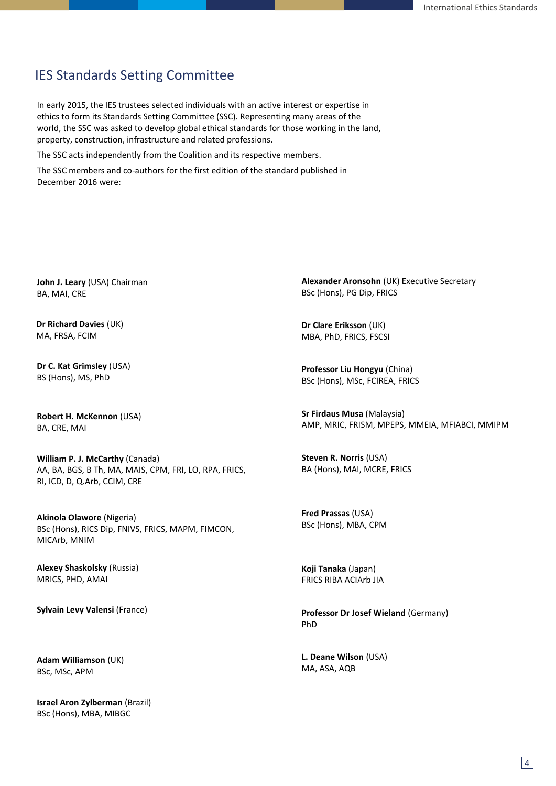## IES Standards Setting Committee

In early 2015, the IES trustees selected individuals with an active interest or expertise in ethics to form its Standards Setting Committee (SSC). Representing many areas of the world, the SSC was asked to develop global ethical standards for those working in the land, property, construction, infrastructure and related professions.

The SSC acts independently from the Coalition and its respective members.

The SSC members and co-authors for the first edition of the standard published in December 2016 were:

**John J. Leary** (USA) Chairman BA, MAI, CRE

**Dr Richard Davies** (UK) MA, FRSA, FCIM

**Dr C. Kat Grimsley** (USA) BS (Hons), MS, PhD

**Robert H. McKennon** (USA) BA, CRE, MAI

**William P. J. McCarthy** (Canada) AA, BA, BGS, B Th, MA, MAIS, CPM, FRI, LO, RPA, FRICS, RI, ICD, D, Q.Arb, CCIM, CRE

**Akinola Olawore** (Nigeria) BSc (Hons), RICS Dip, FNIVS, FRICS, MAPM, FIMCON, MICArb, MNIM

**Alexey Shaskolsky** (Russia) MRICS, PHD, AMAI

**Sylvain Levy Valensi** (France)

**Adam Williamson** (UK) BSc, MSc, APM

**Israel Aron Zylberman** (Brazil) BSc (Hons), MBA, MIBGC

**Alexander Aronsohn** (UK) Executive Secretary BSc (Hons), PG Dip, FRICS

**Dr Clare Eriksson** (UK) MBA, PhD, FRICS, FSCSI

**Professor Liu Hongyu** (China) BSc (Hons), MSc, FCIREA, FRICS

**Sr Firdaus Musa** (Malaysia) AMP, MRIC, FRISM, MPEPS, MMEIA, MFIABCI, MMIPM

**Steven R. Norris** (USA) BA (Hons), MAI, MCRE, FRICS

**Fred Prassas** (USA) BSc (Hons), MBA, CPM

**Koji Tanaka** (Japan) FRICS RIBA ACIArb JIA

**Professor Dr Josef Wieland** (Germany) PhD

**L. Deane Wilson** (USA) MA, ASA, AQB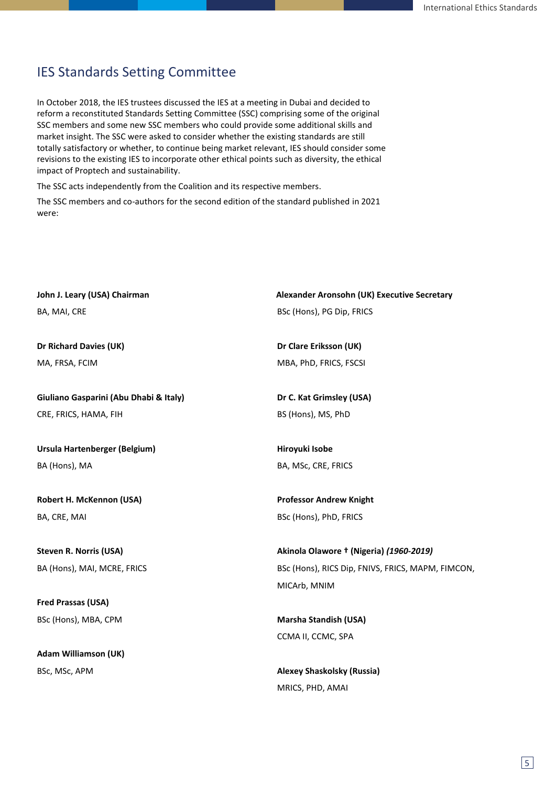## IES Standards Setting Committee

In October 2018, the IES trustees discussed the IES at a meeting in Dubai and decided to reform a reconstituted Standards Setting Committee (SSC) comprising some of the original SSC members and some new SSC members who could provide some additional skills and market insight. The SSC were asked to consider whether the existing standards are still totally satisfactory or whether, to continue being market relevant, IES should consider some revisions to the existing IES to incorporate other ethical points such as diversity, the ethical impact of Proptech and sustainability.

The SSC acts independently from the Coalition and its respective members.

The SSC members and co-authors for the second edition of the standard published in 2021 were:

| John J. Leary (USA) Chairman           | Alexander Aronsohn (UK) Executive Secretary       |
|----------------------------------------|---------------------------------------------------|
| BA, MAI, CRE                           | BSc (Hons), PG Dip, FRICS                         |
|                                        |                                                   |
| Dr Richard Davies (UK)                 | Dr Clare Eriksson (UK)                            |
| MA, FRSA, FCIM                         | MBA, PhD, FRICS, FSCSI                            |
|                                        |                                                   |
| Giuliano Gasparini (Abu Dhabi & Italy) | Dr C. Kat Grimsley (USA)                          |
| CRE, FRICS, HAMA, FIH                  | BS (Hons), MS, PhD                                |
|                                        |                                                   |
| Ursula Hartenberger (Belgium)          | Hiroyuki Isobe                                    |
| BA (Hons), MA                          | BA, MSc, CRE, FRICS                               |
|                                        |                                                   |
| Robert H. McKennon (USA)               | <b>Professor Andrew Knight</b>                    |
| BA, CRE, MAI                           | BSc (Hons), PhD, FRICS                            |
|                                        |                                                   |
| <b>Steven R. Norris (USA)</b>          | Akinola Olawore † (Nigeria) (1960-2019)           |
| BA (Hons), MAI, MCRE, FRICS            | BSc (Hons), RICS Dip, FNIVS, FRICS, MAPM, FIMCON, |
|                                        | MICArb, MNIM                                      |
| Fred Prassas (USA)                     |                                                   |
| BSc (Hons), MBA, CPM                   | <b>Marsha Standish (USA)</b>                      |
|                                        | CCMA II, CCMC, SPA                                |
| <b>Adam Williamson (UK)</b>            |                                                   |
| BSc, MSc, APM                          | <b>Alexey Shaskolsky (Russia)</b>                 |
|                                        | MRICS, PHD, AMAI                                  |
|                                        |                                                   |